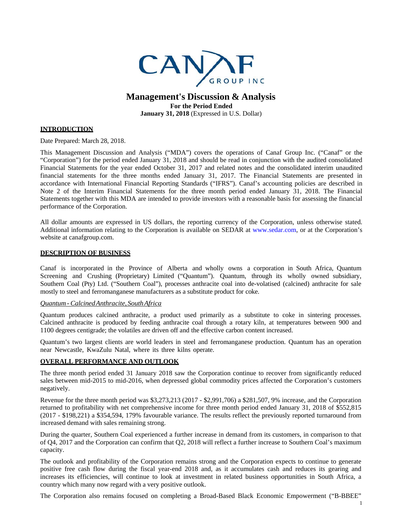

# **Management's Discussion & Analysis For the Period Ended**

**January 31, 2018** (Expressed in U.S. Dollar)

# **INTRODUCTION**

Date Prepared: March 28, 2018.

This Management Discussion and Analysis ("MDA") covers the operations of Canaf Group Inc. ("Canaf" or the "Corporation") for the period ended January 31, 2018 and should be read in conjunction with the audited consolidated Financial Statements for the year ended October 31, 2017 and related notes and the consolidated interim unaudited financial statements for the three months ended January 31, 2017. The Financial Statements are presented in accordance with International Financial Reporting Standards ("IFRS"). Canaf's accounting policies are described in Note 2 of the Interim Financial Statements for the three month period ended January 31, 2018. The Financial Statements together with this MDA are intended to provide investors with a reasonable basis for assessing the financial performance of the Corporation.

All dollar amounts are expressed in US dollars, the reporting currency of the Corporation, unless otherwise stated. Additional information relating to the Corporation is available on SEDAR at www.sedar.com, or at the Corporation's website at canafgroup.com.

### **DESCRIPTION OF BUSINESS**

Canaf is incorporated in the Province of Alberta and wholly owns a corporation in South Africa, Quantum Screening and Crushing (Proprietary) Limited ("Quantum"). Quantum, through its wholly owned subsidiary, Southern Coal (Pty) Ltd. ("Southern Coal"), processes anthracite coal into de-volatised (calcined) anthracite for sale mostly to steel and ferromanganese manufacturers as a substitute product for coke.

### *Quantum-CalcinedAnthracite, SouthAfrica*

Quantum produces calcined anthracite, a product used primarily as a substitute to coke in sintering processes. Calcined anthracite is produced by feeding anthracite coal through a rotary kiln, at temperatures between 900 and 1100 degrees centigrade; the volatiles are driven off and the effective carbon content increased.

Quantum's two largest clients are world leaders in steel and ferromanganese production. Quantum has an operation near Newcastle, KwaZulu Natal, where its three kilns operate.

#### **OVERALL PERFORMANCE AND OUTLOOK**

The three month period ended 31 January 2018 saw the Corporation continue to recover from significantly reduced sales between mid-2015 to mid-2016, when depressed global commodity prices affected the Corporation's customers negatively.

Revenue for the three month period was \$3,273,213 (2017 - \$2,991,706) a \$281,507, 9% increase, and the Corporation returned to profitability with net comprehensive income for three month period ended January 31, 2018 of \$552,815 (2017 - \$198,221) a \$354,594, 179% favourable variance. The results reflect the previously reported turnaround from increased demand with sales remaining strong.

During the quarter, Southern Coal experienced a further increase in demand from its customers, in comparison to that of Q4, 2017 and the Corporation can confirm that Q2, 2018 will reflect a further increase to Southern Coal's maximum capacity.

The outlook and profitability of the Corporation remains strong and the Corporation expects to continue to generate positive free cash flow during the fiscal year-end 2018 and, as it accumulates cash and reduces its gearing and increases its efficiencies, will continue to look at investment in related business opportunities in South Africa, a country which many now regard with a very positive outlook.

The Corporation also remains focused on completing a Broad-Based Black Economic Empowerment ("B-BBEE"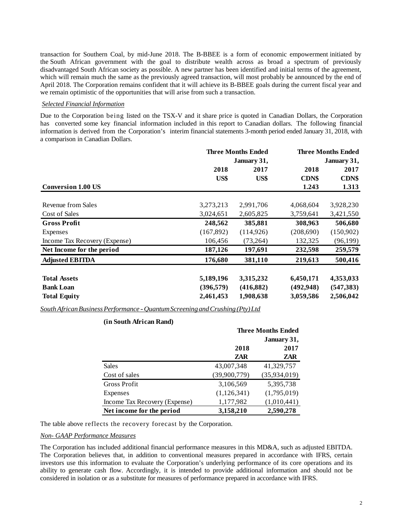transaction for Southern Coal, by mid-June 2018. The B-BBEE is a form of [economic empowerment](https://en.wikipedia.org/wiki/Economic_empowerment) initiated by the [South African government](https://en.wikipedia.org/wiki/Government_of_South_Africa) with the goal to distribute wealth across as broad a spectrum of previously disadvantaged South African society as possible. A new partner has been identified and initial terms of the agreement, which will remain much the same as the previously agreed transaction, will most probably be announced by the end of April 2018. The Corporation remains confident that it will achieve its B-BBEE goals during the current fiscal year and we remain optimistic of the opportunities that will arise from such a transaction.

#### *Selected Financial Information*

Due to the Corporation being listed on the TSX-V and it share price is quoted in Canadian Dollars, the Corporation has converted some key financial information included in this report to Canadian dollars. The following financial information is derived from the Corporation's interim financial statements 3-month period ended January 31, 2018, with a comparison in Canadian Dollars.

|                               | <b>Three Months Ended</b> |            | <b>Three Months Ended</b> |              |  |
|-------------------------------|---------------------------|------------|---------------------------|--------------|--|
|                               | January 31,               |            | January 31,               |              |  |
|                               | 2018                      | 2017       | 2018                      | 2017         |  |
|                               | US\$                      | US\$       | <b>CDN\$</b>              | <b>CDN\$</b> |  |
| <b>Conversion 1.00 US</b>     |                           |            | 1.243                     | 1.313        |  |
|                               |                           |            |                           |              |  |
| Revenue from Sales            | 3,273,213                 | 2,991,706  | 4,068,604                 | 3,928,230    |  |
| Cost of Sales                 | 3,024,651                 | 2,605,825  | 3,759,641                 | 3,421,550    |  |
| <b>Gross Profit</b>           | 248,562                   | 385,881    | 308,963                   | 506,680      |  |
| Expenses                      | (167, 892)                | (114, 926) | (208,690)                 | (150,902)    |  |
| Income Tax Recovery (Expense) | 106,456                   | (73,264)   | 132,325                   | (96, 199)    |  |
| Net Income for the period     | 187,126                   | 197,691    | 232,598                   | 259,579      |  |
| <b>Adjusted EBITDA</b>        | 176,680                   | 381,110    | 219,613                   | 500,416      |  |
| <b>Total Assets</b>           | 5,189,196                 | 3,315,232  | 6,450,171                 | 4,353,033    |  |
| <b>Bank Loan</b>              | (396, 579)                | (416, 882) | (492, 948)                | (547, 383)   |  |
| <b>Total Equity</b>           | 2,461,453                 | 1,908,638  | 3,059,586                 | 2,506,042    |  |

*SouthAfricanBusinessPerformance -QuantumScreeningandCrushing (Pty)Ltd*

### **(in South African Rand)**

|                               | <b>Three Months Ended</b> |              |  |
|-------------------------------|---------------------------|--------------|--|
|                               |                           | January 31,  |  |
|                               | 2018                      | 2017         |  |
|                               | ZAR                       | ZAR          |  |
| Sales                         | 43,007,348                | 41,329,757   |  |
| Cost of sales                 | (39,900,779)              | (35,934,019) |  |
| <b>Gross Profit</b>           | 3,106,569                 | 5,395,738    |  |
| Expenses                      | (1,126,341)               | (1,795,019)  |  |
| Income Tax Recovery (Expense) | 1,177,982                 | (1,010,441)  |  |
| Net income for the period     | 3,158,210                 | 2,590,278    |  |

The table above reflects the recovery forecast by the Corporation.

#### *Non- GAAP Performance Measures*

The Corporation has included additional financial performance measures in this MD&A, such as adjusted EBITDA. The Corporation believes that, in addition to conventional measures prepared in accordance with IFRS, certain investors use this information to evaluate the Corporation's underlying performance of its core operations and its ability to generate cash flow. Accordingly, it is intended to provide additional information and should not be considered in isolation or as a substitute for measures of performance prepared in accordance with IFRS.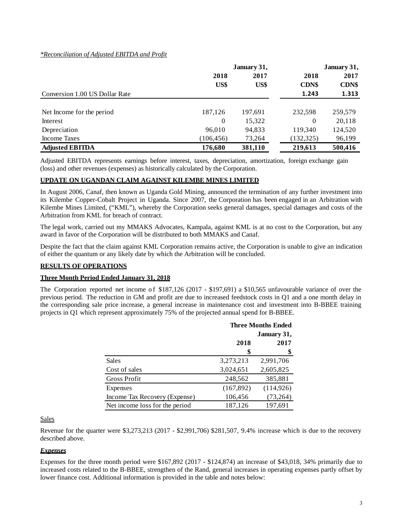# *\*Reconciliation of Adjusted EBITDA and Profit*

|                                | January 31, |         |              | January 31, |  |
|--------------------------------|-------------|---------|--------------|-------------|--|
|                                | 2018        | 2017    | 2018         | 2017        |  |
|                                | US\$        | US\$    | <b>CDN\$</b> | CDN\$       |  |
| Conversion 1.00 US Dollar Rate |             |         | 1.243        | 1.313       |  |
| Net Income for the period      | 187,126     | 197,691 | 232.598      | 259,579     |  |
| Interest                       | 0           | 15,322  | $\theta$     | 20,118      |  |
| Depreciation                   | 96.010      | 94,833  | 119,340      | 124,520     |  |
| Income Taxes                   | (106, 456)  | 73,264  | (132, 325)   | 96,199      |  |
| <b>Adjusted EBITDA</b>         | 176,680     | 381,110 | 219,613      | 500,416     |  |

Adjusted EBITDA represents earnings before interest, taxes, depreciation, amortization, foreign exchange gain (loss) and other revenues (expenses) as historically calculated by the Corporation.

# **UPDATE ON UGANDAN CLAIM AGAINST KILEMBE MINES LIMITED**

In August 2006, Canaf, then known as Uganda Gold Mining, announced the termination of any further investment into its Kilembe Copper-Cobalt Project in Uganda. Since 2007, the Corporation has been engaged in an Arbitration with Kilembe Mines Limited, ("KML"), whereby the Corporation seeks general damages, special damages and costs of the Arbitration from KML for breach of contract.

The legal work, carried out my MMAKS Advocates, Kampala, against KML is at no cost to the Corporation, but any award in favor of the Corporation will be distributed to both MMAKS and Canaf.

Despite the fact that the claim against KML Corporation remains active, the Corporation is unable to give an indication of either the quantum or any likely date by which the Arbitration will be concluded.

### **RESULTS OF OPERATIONS**

# **Three Month Period Ended January 31, 2018**

The Corporation reported net income of \$187,126 (2017 - \$197,691) a \$10,565 unfavourable variance of over the previous period. The reduction in GM and profit are due to increased feedstock costs in Q1 and a one month delay in the corresponding sale price increase, a general increase in maintenance cost and investment into B-BBEE training projects in Q1 which represent approximately 75% of the projected annual spend for B-BBEE.

|                                | <b>Three Months Ended</b> |            |  |  |
|--------------------------------|---------------------------|------------|--|--|
|                                | January 31,               |            |  |  |
|                                | 2018                      | 2017       |  |  |
|                                | \$                        | \$         |  |  |
| Sales                          | 3,273,213                 | 2,991,706  |  |  |
| Cost of sales                  | 3,024,651                 | 2,605,825  |  |  |
| Gross Profit                   | 248,562                   | 385,881    |  |  |
| Expenses                       | (167, 892)                | (114, 926) |  |  |
| Income Tax Recovery (Expense)  | 106,456                   | (73,264)   |  |  |
| Net income loss for the period | 187,126                   | 197,691    |  |  |

#### Sales

Revenue for the quarter were \$3,273,213 (2017 - \$2,991,706) \$281,507, 9.4% increase which is due to the recovery described above.

# *Expenses*

Expenses for the three month period were \$167,892 (2017 - \$124,874) an increase of \$43,018, 34% primarily due to increased costs related to the B-BBEE, strengthen of the Rand, general increases in operating expenses partly offset by lower finance cost. Additional information is provided in the table and notes below: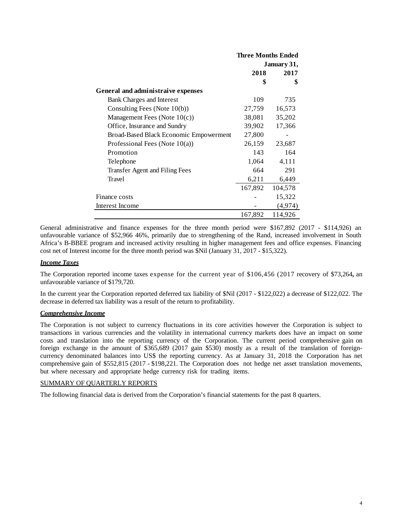|                                        | <b>Three Months Ended</b> |         |  |
|----------------------------------------|---------------------------|---------|--|
|                                        | January 31,               |         |  |
|                                        | 2018                      | 2017    |  |
|                                        | \$                        | \$      |  |
| General and administraive expenses     |                           |         |  |
| Bank Charges and Interest              | 109                       | 735     |  |
| Consulting Fees (Note $10(b)$ )        | 27,759                    | 16,573  |  |
| Management Fees (Note $10(c)$ )        | 38,081                    | 35,202  |  |
| Office, Insurance and Sundry           | 39,902                    | 17,366  |  |
| Broad-Based Black Economic Empowerment | 27,800                    |         |  |
| Professional Fees (Note $10(a)$ )      | 26,159                    | 23,687  |  |
| Promotion                              | 143                       | 164     |  |
| Telephone                              | 1,064                     | 4,111   |  |
| Transfer Agent and Filing Fees         | 664                       | 291     |  |
| Travel                                 | 6,211                     | 6,449   |  |
|                                        | 167,892                   | 104,578 |  |
| Finance costs                          |                           | 15,322  |  |
| Interest Income                        |                           | (4,974) |  |
|                                        | 167,892                   | 114,926 |  |

General administrative and finance expenses for the three month period were \$167,892 (2017 - \$114,926) an unfavourable variance of \$52,966 46%, primarily due to strengthening of the Rand, increased involvement in South Africa's B-BBEE program and increased activity resulting in higher management fees and office expenses. Financing cost net of Interest income for the three month period was \$Nil (January 31, 2017 - \$15,322).

### *Income Taxes*

The Corporation reported income taxes expense for the current year of \$106,456 (2017 recovery of \$73,264**,** an unfavourable variance of \$179,720.

In the current year the Corporation reported deferred tax liability of \$Nil (2017 - \$122,022) a decrease of \$122,022. The decrease in deferred tax liability was a result of the return to profitability.

#### *Comprehensive Income*

The Corporation is not subject to currency fluctuations in its core activities however the Corporation is subject to transactions in various currencies and the volatility in international currency markets does have an impact on some costs and translation into the reporting currency of the Corporation. The current period comprehensive gain on foreign exchange in the amount of \$365,689 (2017 gain \$530) mostly as a result of the translation of foreigncurrency denominated balances into US\$ the reporting currency. As at January 31, 2018 the Corporation has net comprehensive gain of \$552,815 (2017 - \$198,221. The Corporation does not hedge net asset translation movements, but where necessary and appropriate hedge currency risk for trading items.

#### SUMMARY OF QUARTERLY REPORTS

The following financial data is derived from the Corporation's financial statements for the past 8 quarters.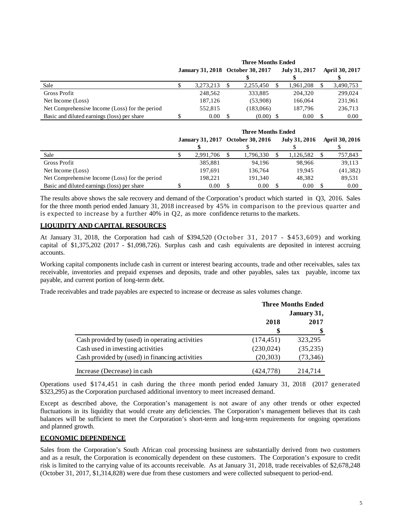|                                                | писсипина еписи |           |  |                                   |               |  |                |
|------------------------------------------------|-----------------|-----------|--|-----------------------------------|---------------|--|----------------|
|                                                |                 |           |  | January 31, 2018 October 30, 2017 | July 31, 2017 |  | April 30, 2017 |
|                                                |                 |           |  |                                   |               |  |                |
| Sale                                           |                 | 3,273,213 |  | 2,255,450                         | 1,961,208     |  | 3,490,753      |
| Gross Profit                                   |                 | 248,562   |  | 333.885                           | 204,320       |  | 299,024        |
| Net Income (Loss)                              |                 | 187.126   |  | (53.908)                          | 166,064       |  | 231,961        |
| Net Comprehensive Income (Loss) for the period |                 | 552.815   |  | (183,066)                         | 187,796       |  | 236,713        |
| Basic and diluted earnings (loss) per share    |                 | 0.00      |  | $(0.00)$ \$                       | 0.00          |  | 0.00           |

**Three Months Ended**

|                                                | <b>Three Months Ended</b> |           |  |           |                                                    |           |                       |
|------------------------------------------------|---------------------------|-----------|--|-----------|----------------------------------------------------|-----------|-----------------------|
|                                                |                           |           |  |           | January 31, 2017 October 30, 2016<br>July 31, 2016 |           | <b>April 30, 2016</b> |
|                                                |                           |           |  |           |                                                    |           |                       |
| Sale                                           |                           | 2.991.706 |  | 1,796,330 | 1,126,582                                          | 757,843   |                       |
| Gross Profit                                   |                           | 385,881   |  | 94.196    | 98.966                                             | 39.113    |                       |
| Net Income (Loss)                              |                           | 197.691   |  | 136.764   | 19.945                                             | (41, 382) |                       |
| Net Comprehensive Income (Loss) for the period |                           | 198.221   |  | 191.340   | 48.382                                             | 89.531    |                       |
| Basic and diluted earnings (loss) per share    |                           | 0.00      |  | 0.00      | 0.00                                               | 0.00      |                       |

The results above shows the sale recovery and demand of the Corporation's product which started in Q3, 2016. Sales for the three month period ended January 31, 2018 increased by 45% in comparison to the previous quarter and is expected to increase by a further  $40\%$  in Q2, as more confidence returns to the markets.

# **LIQUIDITY AND CAPITAL RESOURCES**

At January 31, 2018, the Corporation had cash of \$394,520 (October 31, 2017 - \$453,609) and working capital of \$1,375,202 (2017 - \$1,098,726). Surplus cash and cash equivalents are deposited in interest accruing accounts.

Working capital components include cash in current or interest bearing accounts, trade and other receivables, sales tax receivable, inventories and prepaid expenses and deposits, trade and other payables, sales tax payable, income tax payable, and current portion of long-term debt.

Trade receivables and trade payables are expected to increase or decrease as sales volumes change.

|                                                 | <b>Three Months Ended</b><br>January 31, |          |  |
|-------------------------------------------------|------------------------------------------|----------|--|
|                                                 |                                          |          |  |
|                                                 | 2018                                     | 2017     |  |
|                                                 | \$                                       |          |  |
| Cash provided by (used) in operating activities | (174, 451)                               | 323,295  |  |
| Cash used in investing activities               | (230,024)                                | (35,235) |  |
| Cash provided by (used) in financing activities | (20,303)                                 | (73,346) |  |
| Increase (Decrease) in cash                     | (424,778)                                | 214,714  |  |

Operations used \$174,451 in cash during the three month period ended January 31, 2018 (2017 generated \$323,295) as the Corporation purchased additional inventory to meet increased demand.

Except as described above, the Corporation's management is not aware of any other trends or other expected fluctuations in its liquidity that would create any deficiencies. The Corporation's management believes that its cash balances will be sufficient to meet the Corporation's short-term and long-term requirements for ongoing operations and planned growth.

# **ECONOMIC DEPENDENCE**

Sales from the Corporation's South African coal processing business are substantially derived from two customers and as a result, the Corporation is economically dependent on these customers. The Corporation's exposure to credit risk is limited to the carrying value of its accounts receivable. As at January 31, 2018, trade receivables of \$2,678,248 (October 31, 2017, \$1,314,828) were due from these customers and were collected subsequent to period-end.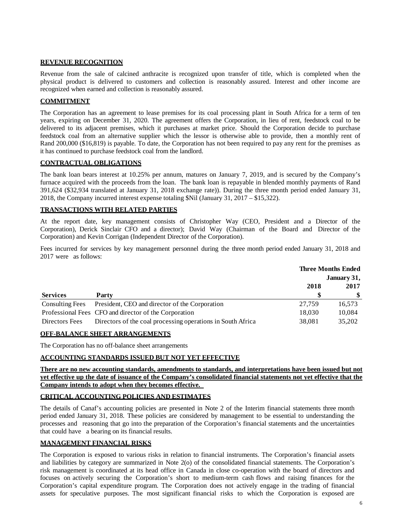### **REVENUE RECOGNITION**

Revenue from the sale of calcined anthracite is recognized upon transfer of title, which is completed when the physical product is delivered to customers and collection is reasonably assured. Interest and other income are recognized when earned and collection is reasonably assured.

# **COMMITMENT**

The Corporation has an agreement to lease premises for its coal processing plant in South Africa for a term of ten years, expiring on December 31, 2020. The agreement offers the Corporation, in lieu of rent, feedstock coal to be delivered to its adjacent premises, which it purchases at market price. Should the Corporation decide to purchase feedstock coal from an alternative supplier which the lessor is otherwise able to provide, then a monthly rent of Rand 200,000 (\$16,819) is payable. To date, the Corporation has not been required to pay any rent for the premises as it has continued to purchase feedstock coal from the landlord.

# **CONTRACTUAL OBLIGATIONS**

The bank loan bears interest at 10.25% per annum, matures on January 7, 2019, and is secured by the Company's furnace acquired with the proceeds from the loan. The bank loan is repayable in blended monthly payments of Rand 391,624 (\$32,934 translated at January 31, 2018 exchange rate)). During the three month period ended January 31, 2018, the Company incurred interest expense totaling \$Nil (January 31, 2017 – \$15,322).

# **TRANSACTIONS WITH RELATED PARTIES**

At the report date, key management consists of Christopher Way (CEO, President and a Director of the Corporation), Derick Sinclair CFO and a director); David Way (Chairman of the Board and Director of the Corporation) and Kevin Corrigan (Independent Director of the Corporation).

Fees incurred for services by key management personnel during the three month period ended January 31, 2018 and 2017 were as follows:

|                        |                                                             | <b>Three Months Ended</b> |             |
|------------------------|-------------------------------------------------------------|---------------------------|-------------|
|                        |                                                             |                           | January 31, |
|                        |                                                             | 2018                      | 2017        |
| <b>Services</b>        | Party                                                       |                           | S.          |
| <b>Consulting Fees</b> | President, CEO and director of the Corporation              | 27.759                    | 16,573      |
|                        | Professional Fees CFO and director of the Corporation       | 18,030                    | 10,084      |
| Directors Fees         | Directors of the coal processing operations in South Africa | 38,081                    | 35,202      |

# **OFF-BALANCE SHEET ARRANGEMENTS**

The Corporation has no off-balance sheet arrangements

# **ACCOUNTING STANDARDS ISSUED BUT NOT YET EFFECTIVE**

**There are no new accounting standards, amendments to standards, and interpretations have been issued but not yet effective up the date of issuance of the Company's consolidated financial statements not yet effective that the Company intends to adopt when they becomes effective.** 

# **CRITICAL ACCOUNTING POLICIES AND ESTIMATES**

The details of Canaf's accounting policies are presented in Note 2 of the Interim financial statements three month period ended January 31, 2018. These policies are considered by management to be essential to understanding the processes and reasoning that go into the preparation of the Corporation's financial statements and the uncertainties that could have a bearing on its financial results.

# **MANAGEMENT FINANCIAL RISKS**

The Corporation is exposed to various risks in relation to financial instruments. The Corporation's financial assets and liabilities by category are summarized in Note 2(o) of the consolidated financial statements. The Corporation's risk management is coordinated at its head office in Canada in close co-operation with the board of directors and focuses on actively securing the Corporation's short to medium-term cash flows and raising finances for the Corporation's capital expenditure program. The Corporation does not actively engage in the trading of financial assets for speculative purposes. The most significant financial risks to which the Corporation is exposed are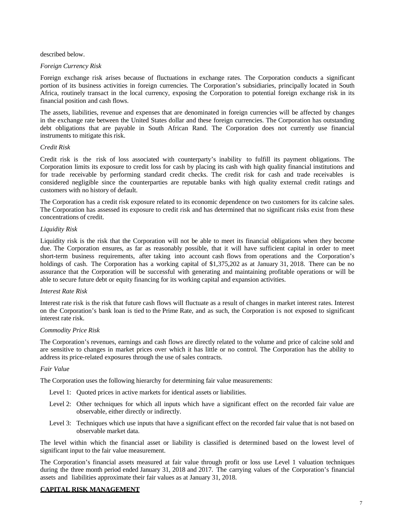described below.

#### *Foreign Currency Risk*

Foreign exchange risk arises because of fluctuations in exchange rates. The Corporation conducts a significant portion of its business activities in foreign currencies. The Corporation's subsidiaries, principally located in South Africa, routinely transact in the local currency, exposing the Corporation to potential foreign exchange risk in its financial position and cash flows.

The assets, liabilities, revenue and expenses that are denominated in foreign currencies will be affected by changes in the exchange rate between the United States dollar and these foreign currencies. The Corporation has outstanding debt obligations that are payable in South African Rand. The Corporation does not currently use financial instruments to mitigate this risk.

#### *Credit Risk*

Credit risk is the risk of loss associated with counterparty's inability to fulfill its payment obligations. The Corporation limits its exposure to credit loss for cash by placing its cash with high quality financial institutions and for trade receivable by performing standard credit checks. The credit risk for cash and trade receivables is considered negligible since the counterparties are reputable banks with high quality external credit ratings and customers with no history of default.

The Corporation has a credit risk exposure related to its economic dependence on two customers for its calcine sales. The Corporation has assessed its exposure to credit risk and has determined that no significant risks exist from these concentrations of credit.

#### *Liquidity Risk*

Liquidity risk is the risk that the Corporation will not be able to meet its financial obligations when they become due. The Corporation ensures, as far as reasonably possible, that it will have sufficient capital in order to meet short-term business requirements, after taking into account cash flows from operations and the Corporation's holdings of cash. The Corporation has a working capital of \$1,375,202 as at January 31, 2018. There can be no assurance that the Corporation will be successful with generating and maintaining profitable operations or will be able to secure future debt or equity financing for its working capital and expansion activities.

#### *Interest Rate Risk*

Interest rate risk is the risk that future cash flows will fluctuate as a result of changes in market interest rates. Interest on the Corporation's bank loan is tied to the Prime Rate, and as such, the Corporation is not exposed to significant interest rate risk.

### *Commodity Price Risk*

The Corporation's revenues, earnings and cash flows are directly related to the volume and price of calcine sold and are sensitive to changes in market prices over which it has little or no control. The Corporation has the ability to address its price-related exposures through the use of sales contracts.

#### *Fair Value*

The Corporation uses the following hierarchy for determining fair value measurements:

- Level 1: Quoted prices in active markets for identical assets or liabilities.
- Level 2: Other techniques for which all inputs which have a significant effect on the recorded fair value are observable, either directly or indirectly.
- Level 3: Techniques which use inputs that have a significant effect on the recorded fair value that is not based on observable market data.

The level within which the financial asset or liability is classified is determined based on the lowest level of significant input to the fair value measurement.

The Corporation's financial assets measured at fair value through profit or loss use Level 1 valuation techniques during the three month period ended January 31, 2018 and 2017. The carrying values of the Corporation's financial assets and liabilities approximate their fair values as at January 31, 2018.

#### **CAPITAL RISK MANAGEMENT**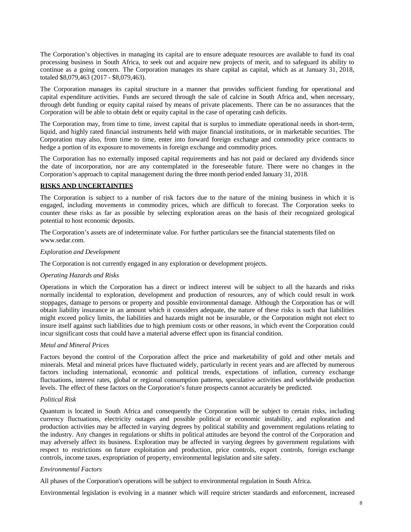The Corporation's objectives in managing its capital are to ensure adequate resources are available to fund its coal processing business in South Africa, to seek out and acquire new projects of merit, and to safeguard its ability to continue as a going concern. The Corporation manages its share capital as capital, which as at January 31, 2018, totaled \$8,079,463 (2017 - \$8,079,463).

The Corporation manages its capital structure in a manner that provides sufficient funding for operational and capital expenditure activities. Funds are secured through the sale of calcine in South Africa and, when necessary, through debt funding or equity capital raised by means of private placements. There can be no assurances that the Corporation will be able to obtain debt or equity capital in the case of operating cash deficits.

The Corporation may, from time to time, invest capital that is surplus to immediate operational needs in short-term, liquid, and highly rated financial instruments held with major financial institutions, or in marketable securities. The Corporation may also, from time to time, enter into forward foreign exchange and commodity price contracts to hedge a portion of its exposure to movements in foreign exchange and commodity prices.

The Corporation has no externally imposed capital requirements and has not paid or declared any dividends since the date of incorporation, nor are any contemplated in the foreseeable future. There were no changes in the Corporation's approach to capital management during the three month period ended January 31, 2018.

### **RISKS AND UNCERTAINTIES**

The Corporation is subject to a number of risk factors due to the nature of the mining business in which it is engaged, including movements in commodity prices, which are difficult to forecast. The Corporation seeks to counter these risks as far as possible by selecting exploration areas on the basis of their recognized geological potential to host economic deposits.

The Corporation's assets are of indeterminate value. For further particulars see the financial statements filed o[n](http://www.sedar.com/) [www.sedar.com.](http://www.sedar.com/)

#### *Exploration and Development*

The Corporation is not currently engaged in any exploration or development projects.

#### *Operating Hazards and Risks*

Operations in which the Corporation has a direct or indirect interest will be subject to all the hazards and risks normally incidental to exploration, development and production of resources, any of which could result in work stoppages, damage to persons or property and possible environmental damage. Although the Corporation has or will obtain liability insurance in an amount which it considers adequate, the nature of these risks is such that liabilities might exceed policy limits, the liabilities and hazards might not be insurable, or the Corporation might not elect to insure itself against such liabilities due to high premium costs or other reasons, in which event the Corporation could incur significant costs that could have a material adverse effect upon its financial condition.

### *Metal and Mineral Prices*

Factors beyond the control of the Corporation affect the price and marketability of gold and other metals and minerals. Metal and mineral prices have fluctuated widely, particularly in recent years and are affected by numerous factors including international, economic and political trends, expectations of inflation, currency exchange fluctuations, interest rates, global or regional consumption patterns, speculative activities and worldwide production levels. The effect of these factors on the Corporation's future prospects cannot accurately be predicted.

### *Political Risk*

Quantum is located in South Africa and consequently the Corporation will be subject to certain risks, including currency fluctuations, electricity outages and possible political or economic instability, and exploration and production activities may be affected in varying degrees by political stability and government regulations relating to the industry. Any changes in regulations or shifts in political attitudes are beyond the control of the Corporation and may adversely affect its business. Exploration may be affected in varying degrees by government regulations with respect to restrictions on future exploitation and production, price controls, export controls, foreign exchange controls, income taxes, expropriation of property, environmental legislation and site safety.

### *Environmental Factors*

All phases of the Corporation's operations will be subject to environmental regulation in South Africa.

Environmental legislation is evolving in a manner which will require stricter standards and enforcement, increased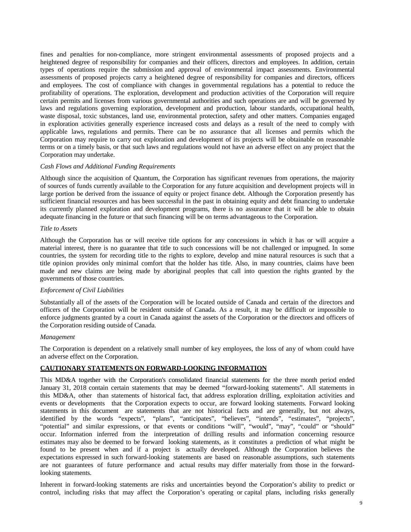fines and penalties for non-compliance, more stringent environmental assessments of proposed projects and a heightened degree of responsibility for companies and their officers, directors and employees. In addition, certain types of operations require the submission and approval of environmental impact assessments. Environmental assessments of proposed projects carry a heightened degree of responsibility for companies and directors, officers and employees. The cost of compliance with changes in governmental regulations has a potential to reduce the profitability of operations. The exploration, development and production activities of the Corporation will require certain permits and licenses from various governmental authorities and such operations are and will be governed by laws and regulations governing exploration, development and production, labour standards, occupational health, waste disposal, toxic substances, land use, environmental protection, safety and other matters. Companies engaged in exploration activities generally experience increased costs and delays as a result of the need to comply with applicable laws, regulations and permits. There can be no assurance that all licenses and permits which the Corporation may require to carry out exploration and development of its projects will be obtainable on reasonable terms or on a timely basis, or that such laws and regulations would not have an adverse effect on any project that the Corporation may undertake.

# *Cash Flows and Additional Funding Requirements*

Although since the acquisition of Quantum, the Corporation has significant revenues from operations, the majority of sources of funds currently available to the Corporation for any future acquisition and development projects will in large portion be derived from the issuance of equity or project finance debt. Although the Corporation presently has sufficient financial resources and has been successful in the past in obtaining equity and debt financing to undertake its currently planned exploration and development programs, there is no assurance that it will be able to obtain adequate financing in the future or that such financing will be on terms advantageous to the Corporation.

#### *Title to Assets*

Although the Corporation has or will receive title options for any concessions in which it has or will acquire a material interest, there is no guarantee that title to such concessions will be not challenged or impugned. In some countries, the system for recording title to the rights to explore, develop and mine natural resources is such that a title opinion provides only minimal comfort that the holder has title. Also, in many countries, claims have been made and new claims are being made by aboriginal peoples that call into question the rights granted by the governments of those countries.

#### *Enforcement of Civil Liabilities*

Substantially all of the assets of the Corporation will be located outside of Canada and certain of the directors and officers of the Corporation will be resident outside of Canada. As a result, it may be difficult or impossible to enforce judgments granted by a court in Canada against the assets of the Corporation or the directors and officers of the Corporation residing outside of Canada.

#### *Management*

The Corporation is dependent on a relatively small number of key employees, the loss of any of whom could have an adverse effect on the Corporation.

### **CAUTIONARY STATEMENTS ON FORWARD-LOOKING INFORMATION**

This MD&A together with the Corporation's consolidated financial statements for the three month period ended January 31, 2018 contain certain statements that may be deemed "forward-looking statements". All statements in this MD&A, other than statements of historical fact, that address exploration drilling, exploitation activities and events or developments that the Corporation expects to occur, are forward looking statements. Forward looking statements in this document are statements that are not historical facts and are generally, but not always, identified by the words "expects", "plans", "anticipates", "believes", "intends", "estimates", "projects", "potential" and similar expressions, or that events or conditions "will", "would", "may", "could" or "should" occur. Information inferred from the interpretation of drilling results and information concerning resource estimates may also be deemed to be forward looking statements, as it constitutes a prediction of what might be found to be present when and if a project is actually developed. Although the Corporation believes the expectations expressed in such forward-looking statements are based on reasonable assumptions, such statements are not guarantees of future performance and actual results may differ materially from those in the forwardlooking statements.

Inherent in forward-looking statements are risks and uncertainties beyond the Corporation's ability to predict or control, including risks that may affect the Corporation's operating or capital plans, including risks generally